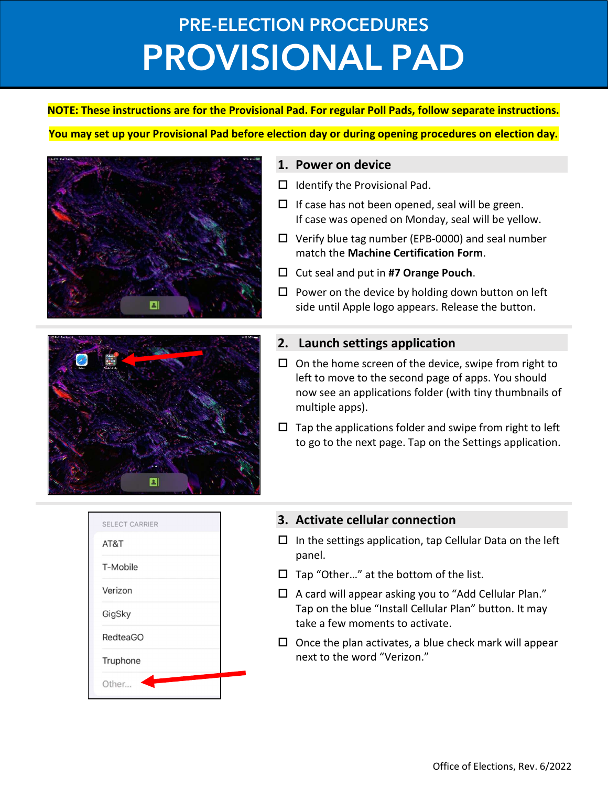## PRE-ELECTION PROCEDURES PROVISIONAL PAD

#### NOTE: These instructions are for the Provisional Pad. For regular Poll Pads, follow separate instructions.

#### You may set up your Provisional Pad before election day or during opening procedures on election day.



#### 1. Power on device

- $\Box$  Identify the Provisional Pad.
- $\Box$  If case has not been opened, seal will be green. If case was opened on Monday, seal will be yellow.
- $\Box$  Verify blue tag number (EPB-0000) and seal number match the Machine Certification Form.
- $\Box$  Cut seal and put in #7 Orange Pouch.
- $\square$  Power on the device by holding down button on left side until Apple logo appears. Release the button.

#### 2. Launch settings application

- $\Box$  On the home screen of the device, swipe from right to left to move to the second page of apps. You should now see an applications folder (with tiny thumbnails of multiple apps).
- $\square$  Tap the applications folder and swipe from right to left to go to the next page. Tap on the Settings application.

|          | <b>SELECT CARRIER</b> |
|----------|-----------------------|
| AT&T     |                       |
| T-Mobile |                       |
| Verizon  |                       |
| GigSky   |                       |
|          | <b>RedteaGO</b>       |
|          | Truphone              |
| Other    |                       |

 $\vert$  2.

### 3. Activate cellular connection

- $\Box$  In the settings application, tap Cellular Data on the left panel.
- $\Box$  Tap "Other..." at the bottom of the list.
- $\Box$  A card will appear asking you to "Add Cellular Plan." Tap on the blue "Install Cellular Plan" button. It may take a few moments to activate.
- $\square$  Once the plan activates, a blue check mark will appear next to the word "Verizon."